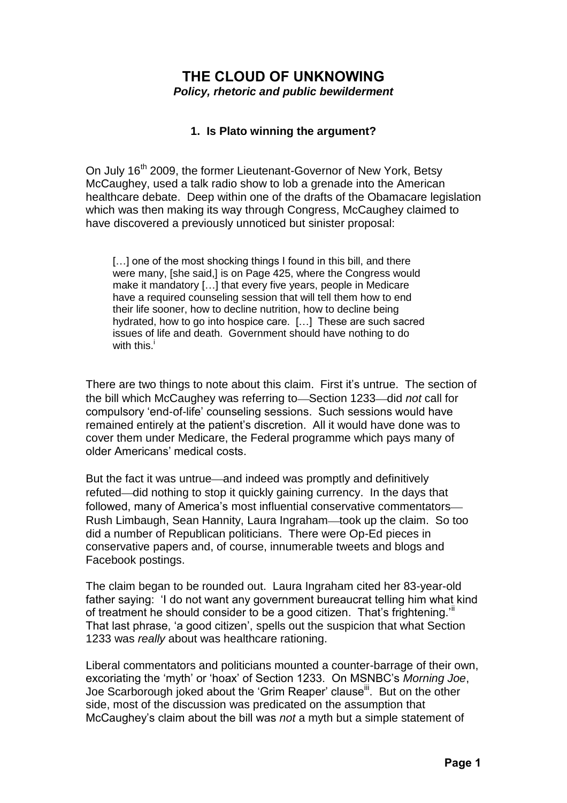## **THE CLOUD OF UNKNOWING** *Policy, rhetoric and public bewilderment*

## **1. Is Plato winning the argument?**

On July 16<sup>th</sup> 2009, the former Lieutenant-Governor of New York, Betsy McCaughey, used a talk radio show to lob a grenade into the American healthcare debate. Deep within one of the drafts of the Obamacare legislation which was then making its way through Congress, McCaughey claimed to have discovered a previously unnoticed but sinister proposal:

[...] one of the most shocking things I found in this bill, and there were many, [she said,] is on Page 425, where the Congress would make it mandatory […] that every five years, people in Medicare have a required counseling session that will tell them how to end their life sooner, how to decline nutrition, how to decline being hydrated, how to go into hospice care. […] These are such sacred issues of life and death. Government should have nothing to do with this. $<sup>i</sup>$ </sup>

There are two things to note about this claim. First it's untrue. The section of the bill which McCaughey was referring to-Section 1233-did *not* call for compulsory 'end-of-life' counseling sessions. Such sessions would have remained entirely at the patient's discretion. All it would have done was to cover them under Medicare, the Federal programme which pays many of older Americans' medical costs.

But the fact it was untrue—and indeed was promptly and definitively refuted—did nothing to stop it quickly gaining currency. In the days that followed, many of America's most influential conservative commentators Rush Limbaugh, Sean Hannity, Laura Ingraham—took up the claim. So too did a number of Republican politicians. There were Op-Ed pieces in conservative papers and, of course, innumerable tweets and blogs and Facebook postings.

The claim began to be rounded out. Laura Ingraham cited her 83-year-old father saying: 'I do not want any government bureaucrat telling him what kind of treatment he should consider to be a good citizen. That's frightening.<sup>'ii</sup> That last phrase, 'a good citizen', spells out the suspicion that what Section 1233 was *really* about was healthcare rationing.

Liberal commentators and politicians mounted a counter-barrage of their own, excoriating the 'myth' or 'hoax' of Section 1233. On MSNBC's *Morning Joe*, Joe Scarborough joked about the 'Grim Reaper' clause<sup>iii</sup>. But on the other side, most of the discussion was predicated on the assumption that McCaughey's claim about the bill was *not* a myth but a simple statement of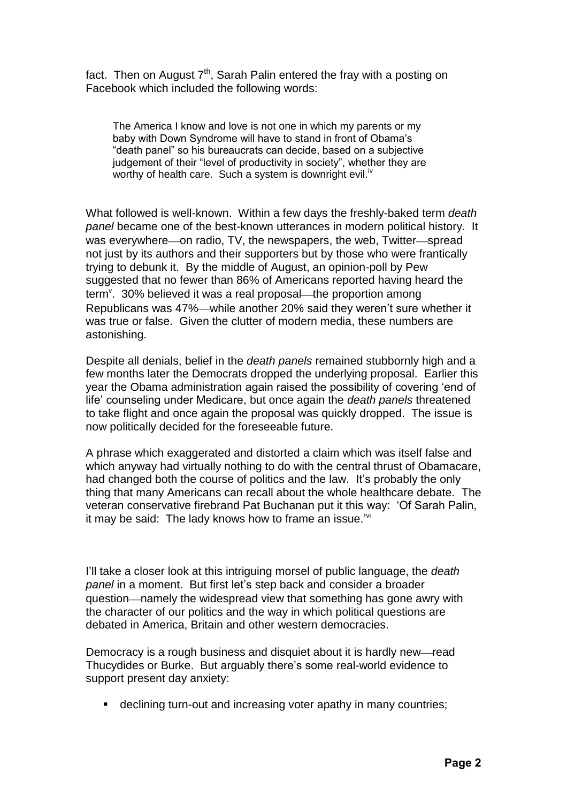fact. Then on August 7<sup>th</sup>, Sarah Palin entered the fray with a posting on Facebook which included the following words:

The America I know and love is not one in which my parents or my baby with Down Syndrome will have to stand in front of Obama's "death panel" so his bureaucrats can decide, based on a subjective judgement of their "level of productivity in society", whether they are worthy of health care. Such a system is downright evil.<sup>iv</sup>

What followed is well-known. Within a few days the freshly-baked term *death panel* became one of the best-known utterances in modern political history. It was everywhere—on radio, TV, the newspapers, the web, Twitter—spread not just by its authors and their supporters but by those who were frantically trying to debunk it. By the middle of August, an opinion-poll by Pew suggested that no fewer than 86% of Americans reported having heard the term<sup>v</sup>. 30% believed it was a real proposal—the proportion among Republicans was 47%—while another 20% said they weren't sure whether it was true or false. Given the clutter of modern media, these numbers are astonishing.

Despite all denials, belief in the *death panels* remained stubbornly high and a few months later the Democrats dropped the underlying proposal. Earlier this year the Obama administration again raised the possibility of covering 'end of life' counseling under Medicare, but once again the *death panels* threatened to take flight and once again the proposal was quickly dropped. The issue is now politically decided for the foreseeable future.

A phrase which exaggerated and distorted a claim which was itself false and which anyway had virtually nothing to do with the central thrust of Obamacare, had changed both the course of politics and the law. It's probably the only thing that many Americans can recall about the whole healthcare debate. The veteran conservative firebrand Pat Buchanan put it this way: 'Of Sarah Palin, it may be said: The lady knows how to frame an issue."<sup>it</sup>

I'll take a closer look at this intriguing morsel of public language, the *death panel* in a moment. But first let's step back and consider a broader question—namely the widespread view that something has gone awry with the character of our politics and the way in which political questions are debated in America, Britain and other western democracies.

Democracy is a rough business and disquiet about it is hardly new—read Thucydides or Burke. But arguably there's some real-world evidence to support present day anxiety:

declining turn-out and increasing voter apathy in many countries;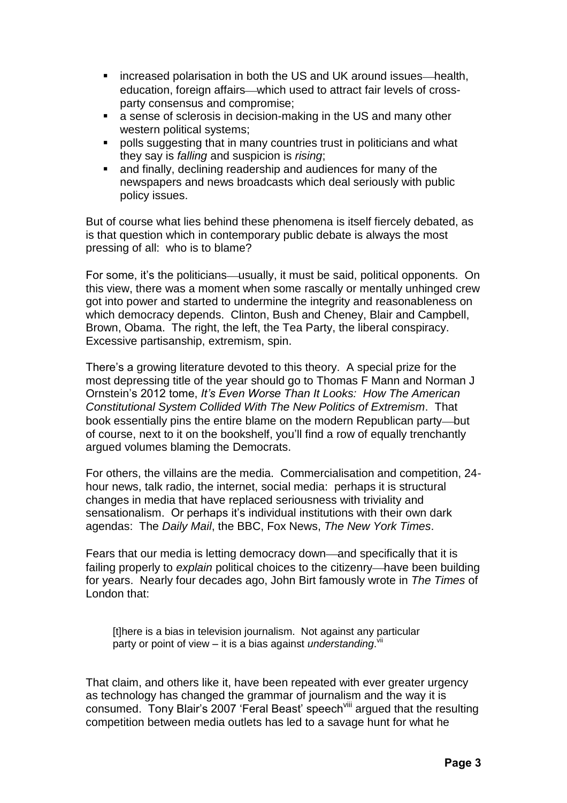- **EXECT** increased polarisation in both the US and UK around issues—health, education, foreign affairs—which used to attract fair levels of crossparty consensus and compromise;
- a sense of sclerosis in decision-making in the US and many other western political systems;
- **Percify in Summangesting that in many countries trust in politicians and what** they say is *falling* and suspicion is *rising*;
- **and finally, declining readership and audiences for many of the** newspapers and news broadcasts which deal seriously with public policy issues.

But of course what lies behind these phenomena is itself fiercely debated, as is that question which in contemporary public debate is always the most pressing of all: who is to blame?

For some, it's the politicians—usually, it must be said, political opponents. On this view, there was a moment when some rascally or mentally unhinged crew got into power and started to undermine the integrity and reasonableness on which democracy depends. Clinton, Bush and Cheney, Blair and Campbell, Brown, Obama. The right, the left, the Tea Party, the liberal conspiracy. Excessive partisanship, extremism, spin.

There's a growing literature devoted to this theory. A special prize for the most depressing title of the year should go to Thomas F Mann and Norman J Ornstein's 2012 tome, *It's Even Worse Than It Looks: How The American Constitutional System Collided With The New Politics of Extremism*.That book essentially pins the entire blame on the modern Republican party—but of course, next to it on the bookshelf, you'll find a row of equally trenchantly argued volumes blaming the Democrats.

For others, the villains are the media. Commercialisation and competition, 24 hour news, talk radio, the internet, social media: perhaps it is structural changes in media that have replaced seriousness with triviality and sensationalism. Or perhaps it's individual institutions with their own dark agendas: The *Daily Mail*, the BBC, Fox News, *The New York Times*.

Fears that our media is letting democracy down—and specifically that it is failing properly to *explain* political choices to the citizenry—have been building for years. Nearly four decades ago, John Birt famously wrote in *The Times* of London that:

[t]here is a bias in television journalism. Not against any particular party or point of view – it is a bias against *understanding*. Vil

That claim, and others like it, have been repeated with ever greater urgency as technology has changed the grammar of journalism and the way it is consumed. Tony Blair's 2007 'Feral Beast' speech<sup>viii</sup> argued that the resulting competition between media outlets has led to a savage hunt for what he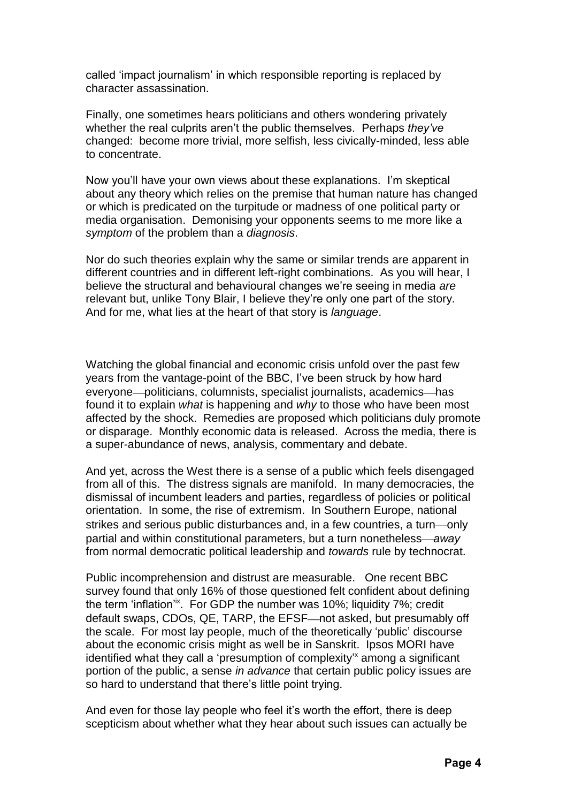called 'impact journalism' in which responsible reporting is replaced by character assassination.

Finally, one sometimes hears politicians and others wondering privately whether the real culprits aren't the public themselves. Perhaps *they've* changed: become more trivial, more selfish, less civically-minded, less able to concentrate.

Now you'll have your own views about these explanations. I'm skeptical about any theory which relies on the premise that human nature has changed or which is predicated on the turpitude or madness of one political party or media organisation. Demonising your opponents seems to me more like a *symptom* of the problem than a *diagnosis*.

Nor do such theories explain why the same or similar trends are apparent in different countries and in different left-right combinations. As you will hear, I believe the structural and behavioural changes we're seeing in media *are* relevant but, unlike Tony Blair, I believe they're only one part of the story. And for me, what lies at the heart of that story is *language*.

Watching the global financial and economic crisis unfold over the past few years from the vantage-point of the BBC, I've been struck by how hard everyone politicians, columnists, specialist journalists, academics has found it to explain *what* is happening and *why* to those who have been most affected by the shock. Remedies are proposed which politicians duly promote or disparage. Monthly economic data is released. Across the media, there is a super-abundance of news, analysis, commentary and debate.

And yet, across the West there is a sense of a public which feels disengaged from all of this. The distress signals are manifold. In many democracies, the dismissal of incumbent leaders and parties, regardless of policies or political orientation. In some, the rise of extremism. In Southern Europe, national strikes and serious public disturbances and, in a few countries, a turn—only partial and within constitutional parameters, but a turn nonetheless—away from normal democratic political leadership and *towards* rule by technocrat.

Public incomprehension and distrust are measurable. One recent BBC survey found that only 16% of those questioned felt confident about defining the term 'inflation'ix. For GDP the number was 10%; liquidity 7%; credit default swaps, CDOs, QE, TARP, the EFSF-not asked, but presumably off the scale. For most lay people, much of the theoretically 'public' discourse about the economic crisis might as well be in Sanskrit. Ipsos MORI have identified what they call a 'presumption of complexity'<sup>x</sup> among a significant portion of the public, a sense *in advance* that certain public policy issues are so hard to understand that there's little point trying.

And even for those lay people who feel it's worth the effort, there is deep scepticism about whether what they hear about such issues can actually be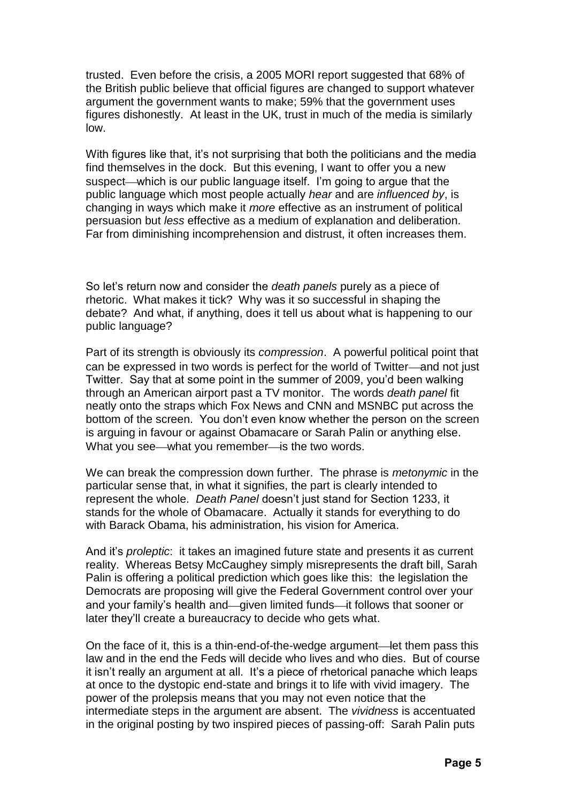trusted. Even before the crisis, a 2005 MORI report suggested that 68% of the British public believe that official figures are changed to support whatever argument the government wants to make; 59% that the government uses figures dishonestly. At least in the UK, trust in much of the media is similarly low.

With figures like that, it's not surprising that both the politicians and the media find themselves in the dock. But this evening, I want to offer you a new suspect—which is our public language itself. I'm going to argue that the public language which most people actually *hear* and are *influenced by*, is changing in ways which make it *more* effective as an instrument of political persuasion but *less* effective as a medium of explanation and deliberation. Far from diminishing incomprehension and distrust, it often increases them.

So let's return now and consider the *death panels* purely as a piece of rhetoric. What makes it tick? Why was it so successful in shaping the debate? And what, if anything, does it tell us about what is happening to our public language?

Part of its strength is obviously its *compression*. A powerful political point that can be expressed in two words is perfect for the world of Twitter—and not just Twitter. Say that at some point in the summer of 2009, you'd been walking through an American airport past a TV monitor. The words *death panel* fit neatly onto the straps which Fox News and CNN and MSNBC put across the bottom of the screen. You don't even know whether the person on the screen is arguing in favour or against Obamacare or Sarah Palin or anything else. What you see—what you remember—is the two words.

We can break the compression down further. The phrase is *metonymic* in the particular sense that, in what it signifies, the part is clearly intended to represent the whole. *Death Panel* doesn't just stand for Section 1233, it stands for the whole of Obamacare. Actually it stands for everything to do with Barack Obama, his administration, his vision for America.

And it's *proleptic*: it takes an imagined future state and presents it as current reality. Whereas Betsy McCaughey simply misrepresents the draft bill, Sarah Palin is offering a political prediction which goes like this: the legislation the Democrats are proposing will give the Federal Government control over your and your family's health and—given limited funds—it follows that sooner or later they'll create a bureaucracy to decide who gets what.

On the face of it, this is a thin-end-of-the-wedge argument—let them pass this law and in the end the Feds will decide who lives and who dies. But of course it isn't really an argument at all. It's a piece of rhetorical panache which leaps at once to the dystopic end-state and brings it to life with vivid imagery. The power of the prolepsis means that you may not even notice that the intermediate steps in the argument are absent. The *vividness* is accentuated in the original posting by two inspired pieces of passing-off: Sarah Palin puts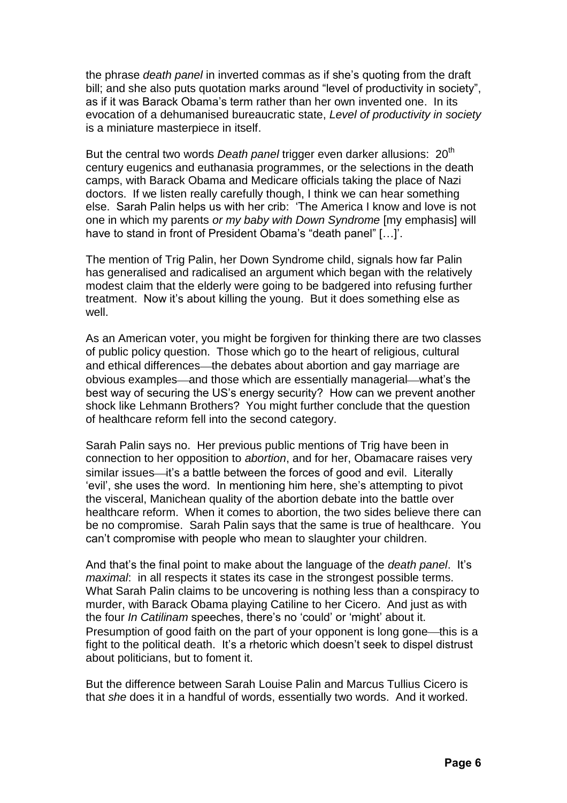the phrase *death panel* in inverted commas as if she's quoting from the draft bill; and she also puts quotation marks around "level of productivity in society", as if it was Barack Obama's term rather than her own invented one. In its evocation of a dehumanised bureaucratic state, *Level of productivity in society* is a miniature masterpiece in itself.

But the central two words *Death panel* trigger even darker allusions: 20<sup>th</sup> century eugenics and euthanasia programmes, or the selections in the death camps, with Barack Obama and Medicare officials taking the place of Nazi doctors. If we listen really carefully though, I think we can hear something else. Sarah Palin helps us with her crib: 'The America I know and love is not one in which my parents *or my baby with Down Syndrome* [my emphasis] will have to stand in front of President Obama's "death panel" […]'.

The mention of Trig Palin, her Down Syndrome child, signals how far Palin has generalised and radicalised an argument which began with the relatively modest claim that the elderly were going to be badgered into refusing further treatment. Now it's about killing the young. But it does something else as well.

As an American voter, you might be forgiven for thinking there are two classes of public policy question. Those which go to the heart of religious, cultural and ethical differences—the debates about abortion and gay marriage are obvious examples—and those which are essentially managerial—what's the best way of securing the US's energy security? How can we prevent another shock like Lehmann Brothers? You might further conclude that the question of healthcare reform fell into the second category.

Sarah Palin says no. Her previous public mentions of Trig have been in connection to her opposition to *abortion*, and for her, Obamacare raises very similar issues—it's a battle between the forces of good and evil. Literally 'evil', she uses the word. In mentioning him here, she's attempting to pivot the visceral, Manichean quality of the abortion debate into the battle over healthcare reform. When it comes to abortion, the two sides believe there can be no compromise. Sarah Palin says that the same is true of healthcare. You can't compromise with people who mean to slaughter your children.

And that's the final point to make about the language of the *death panel*. It's *maximal*: in all respects it states its case in the strongest possible terms. What Sarah Palin claims to be uncovering is nothing less than a conspiracy to murder, with Barack Obama playing Catiline to her Cicero. And just as with the four *In Catilinam* speeches, there's no 'could' or 'might' about it. Presumption of good faith on the part of your opponent is long gone-this is a fight to the political death. It's a rhetoric which doesn't seek to dispel distrust about politicians, but to foment it.

But the difference between Sarah Louise Palin and Marcus Tullius Cicero is that *she* does it in a handful of words, essentially two words. And it worked.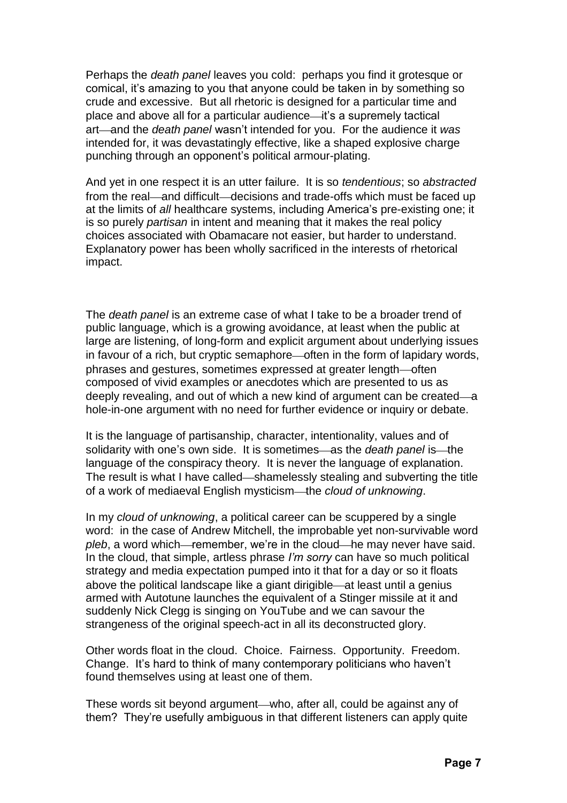Perhaps the *death panel* leaves you cold: perhaps you find it grotesque or comical, it's amazing to you that anyone could be taken in by something so crude and excessive. But all rhetoric is designed for a particular time and place and above all for a particular audience—it's a supremely tactical art and the *death panel* wasn't intended for you. For the audience it *was* intended for, it was devastatingly effective, like a shaped explosive charge punching through an opponent's political armour-plating.

And yet in one respect it is an utter failure. It is so *tendentious*; so *abstracted* from the real—and difficult—decisions and trade-offs which must be faced up at the limits of *all* healthcare systems, including America's pre-existing one; it is so purely *partisan* in intent and meaning that it makes the real policy choices associated with Obamacare not easier, but harder to understand. Explanatory power has been wholly sacrificed in the interests of rhetorical impact.

The *death panel* is an extreme case of what I take to be a broader trend of public language, which is a growing avoidance, at least when the public at large are listening, of long-form and explicit argument about underlying issues in favour of a rich, but cryptic semaphore—often in the form of lapidary words, phrases and gestures, sometimes expressed at greater length—often composed of vivid examples or anecdotes which are presented to us as deeply revealing, and out of which a new kind of argument can be created—a hole-in-one argument with no need for further evidence or inquiry or debate.

It is the language of partisanship, character, intentionality, values and of solidarity with one's own side. It is sometimes—as the *death panel* is—the language of the conspiracy theory. It is never the language of explanation. The result is what I have called—shamelessly stealing and subverting the title of a work of mediaeval English mysticism the *cloud of unknowing*.

In my *cloud of unknowing*, a political career can be scuppered by a single word: in the case of Andrew Mitchell, the improbable yet non-survivable word pleb, a word which—remember, we're in the cloud—he may never have said. In the cloud, that simple, artless phrase *I'm sorry* can have so much political strategy and media expectation pumped into it that for a day or so it floats above the political landscape like a giant dirigible—at least until a genius armed with Autotune launches the equivalent of a Stinger missile at it and suddenly Nick Clegg is singing on YouTube and we can savour the strangeness of the original speech-act in all its deconstructed glory.

Other words float in the cloud. Choice. Fairness. Opportunity. Freedom. Change. It's hard to think of many contemporary politicians who haven't found themselves using at least one of them.

These words sit beyond argument—who, after all, could be against any of them? They're usefully ambiguous in that different listeners can apply quite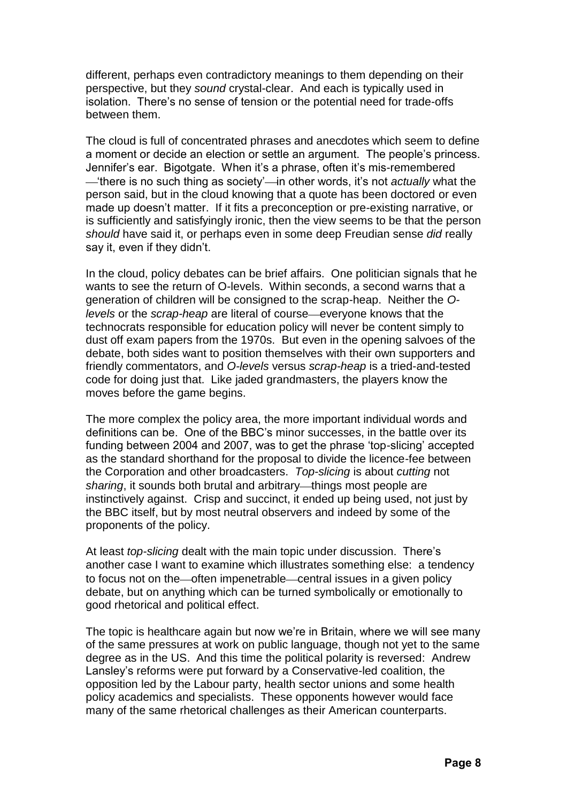different, perhaps even contradictory meanings to them depending on their perspective, but they *sound* crystal-clear. And each is typically used in isolation. There's no sense of tension or the potential need for trade-offs between them.

The cloud is full of concentrated phrases and anecdotes which seem to define a moment or decide an election or settle an argument. The people's princess. Jennifer's ear. Bigotgate. When it's a phrase, often it's mis-remembered - 'there is no such thing as society' in other words, it's not *actually* what the person said, but in the cloud knowing that a quote has been doctored or even made up doesn't matter. If it fits a preconception or pre-existing narrative, or is sufficiently and satisfyingly ironic, then the view seems to be that the person *should* have said it, or perhaps even in some deep Freudian sense *did* really say it, even if they didn't.

In the cloud, policy debates can be brief affairs. One politician signals that he wants to see the return of O-levels. Within seconds, a second warns that a generation of children will be consigned to the scrap-heap. Neither the *Olevels* or the *scrap-heap* are literal of course—everyone knows that the technocrats responsible for education policy will never be content simply to dust off exam papers from the 1970s. But even in the opening salvoes of the debate, both sides want to position themselves with their own supporters and friendly commentators, and *O-levels* versus *scrap-heap* is a tried-and-tested code for doing just that. Like jaded grandmasters, the players know the moves before the game begins.

The more complex the policy area, the more important individual words and definitions can be. One of the BBC's minor successes, in the battle over its funding between 2004 and 2007, was to get the phrase 'top-slicing' accepted as the standard shorthand for the proposal to divide the licence-fee between the Corporation and other broadcasters. *Top-slicing* is about *cutting* not sharing, it sounds both brutal and arbitrary—things most people are instinctively against. Crisp and succinct, it ended up being used, not just by the BBC itself, but by most neutral observers and indeed by some of the proponents of the policy.

At least *top-slicing* dealt with the main topic under discussion. There's another case I want to examine which illustrates something else: a tendency to focus not on the—often impenetrable—central issues in a given policy debate, but on anything which can be turned symbolically or emotionally to good rhetorical and political effect.

The topic is healthcare again but now we're in Britain, where we will see many of the same pressures at work on public language, though not yet to the same degree as in the US. And this time the political polarity is reversed: Andrew Lansley's reforms were put forward by a Conservative-led coalition, the opposition led by the Labour party, health sector unions and some health policy academics and specialists. These opponents however would face many of the same rhetorical challenges as their American counterparts.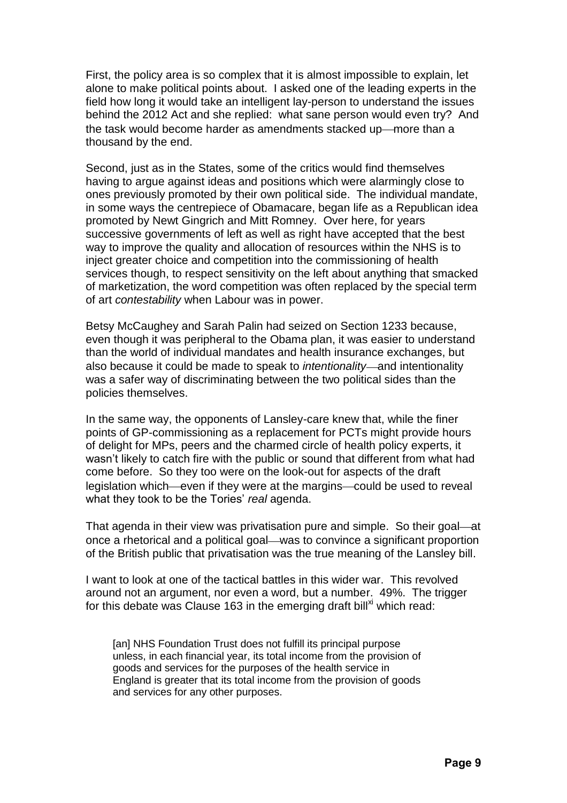First, the policy area is so complex that it is almost impossible to explain, let alone to make political points about. I asked one of the leading experts in the field how long it would take an intelligent lay-person to understand the issues behind the 2012 Act and she replied: what sane person would even try? And the task would become harder as amendments stacked up—more than a thousand by the end.

Second, just as in the States, some of the critics would find themselves having to argue against ideas and positions which were alarmingly close to ones previously promoted by their own political side. The individual mandate, in some ways the centrepiece of Obamacare, began life as a Republican idea promoted by Newt Gingrich and Mitt Romney. Over here, for years successive governments of left as well as right have accepted that the best way to improve the quality and allocation of resources within the NHS is to inject greater choice and competition into the commissioning of health services though, to respect sensitivity on the left about anything that smacked of marketization, the word competition was often replaced by the special term of art *contestability* when Labour was in power.

Betsy McCaughey and Sarah Palin had seized on Section 1233 because, even though it was peripheral to the Obama plan, it was easier to understand than the world of individual mandates and health insurance exchanges, but also because it could be made to speak to *intentionality* and intentionality was a safer way of discriminating between the two political sides than the policies themselves.

In the same way, the opponents of Lansley-care knew that, while the finer points of GP-commissioning as a replacement for PCTs might provide hours of delight for MPs, peers and the charmed circle of health policy experts, it wasn't likely to catch fire with the public or sound that different from what had come before. So they too were on the look-out for aspects of the draft legislation which—even if they were at the margins—could be used to reveal what they took to be the Tories' *real* agenda.

That agenda in their view was privatisation pure and simple. So their goal—at once a rhetorical and a political goal—was to convince a significant proportion of the British public that privatisation was the true meaning of the Lansley bill.

I want to look at one of the tactical battles in this wider war. This revolved around not an argument, nor even a word, but a number. 49%. The trigger for this debate was Clause 163 in the emerging draft bill<sup>xi</sup> which read:

[an] NHS Foundation Trust does not fulfill its principal purpose unless, in each financial year, its total income from the provision of goods and services for the purposes of the health service in England is greater that its total income from the provision of goods and services for any other purposes.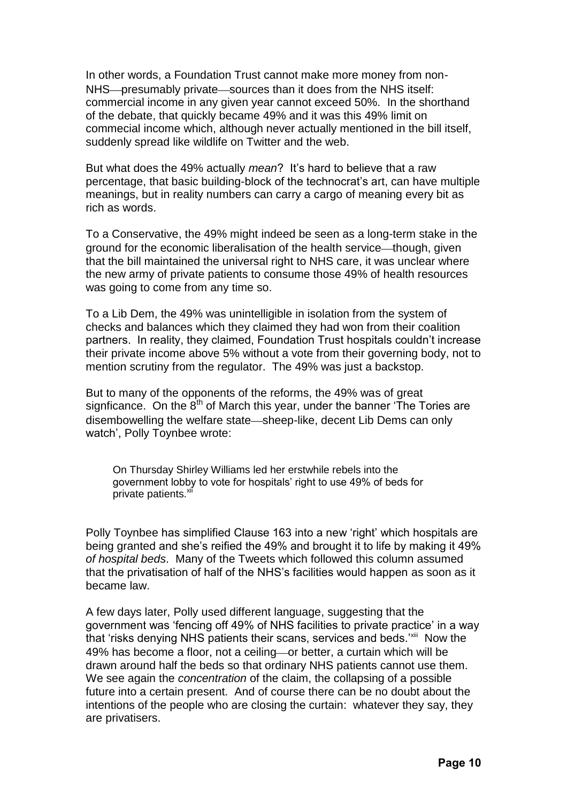In other words, a Foundation Trust cannot make more money from non-NHS—presumably private—sources than it does from the NHS itself: commercial income in any given year cannot exceed 50%. In the shorthand of the debate, that quickly became 49% and it was this 49% limit on commecial income which, although never actually mentioned in the bill itself, suddenly spread like wildlife on Twitter and the web.

But what does the 49% actually *mean*? It's hard to believe that a raw percentage, that basic building-block of the technocrat's art, can have multiple meanings, but in reality numbers can carry a cargo of meaning every bit as rich as words.

To a Conservative, the 49% might indeed be seen as a long-term stake in the ground for the economic liberalisation of the health service—though, given that the bill maintained the universal right to NHS care, it was unclear where the new army of private patients to consume those 49% of health resources was going to come from any time so.

To a Lib Dem, the 49% was unintelligible in isolation from the system of checks and balances which they claimed they had won from their coalition partners. In reality, they claimed, Foundation Trust hospitals couldn't increase their private income above 5% without a vote from their governing body, not to mention scrutiny from the regulator. The 49% was just a backstop.

But to many of the opponents of the reforms, the 49% was of great signficance. On the  $8<sup>th</sup>$  of March this year, under the banner 'The Tories are disembowelling the welfare state—sheep-like, decent Lib Dems can only watch', Polly Toynbee wrote:

On Thursday Shirley Williams led her erstwhile rebels into the government lobby to vote for hospitals' right to use 49% of beds for private patients.<sup>xii</sup>

Polly Toynbee has simplified Clause 163 into a new 'right' which hospitals are being granted and she's reified the 49% and brought it to life by making it 49% *of hospital beds*. Many of the Tweets which followed this column assumed that the privatisation of half of the NHS's facilities would happen as soon as it became law.

A few days later, Polly used different language, suggesting that the government was 'fencing off 49% of NHS facilities to private practice' in a way that 'risks denying NHS patients their scans, services and beds.'<sup>xiii</sup> Now the 49% has become a floor, not a ceiling—or better, a curtain which will be drawn around half the beds so that ordinary NHS patients cannot use them. We see again the *concentration* of the claim, the collapsing of a possible future into a certain present. And of course there can be no doubt about the intentions of the people who are closing the curtain: whatever they say, they are privatisers.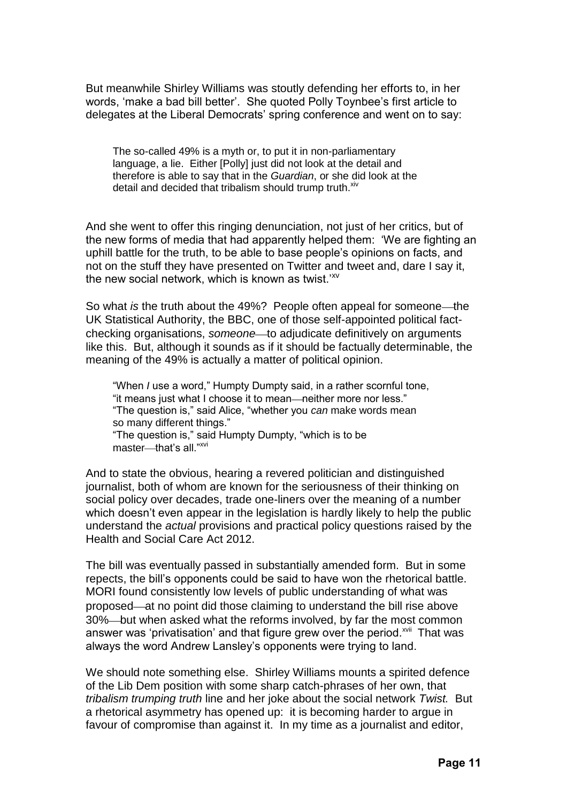But meanwhile Shirley Williams was stoutly defending her efforts to, in her words, 'make a bad bill better'. She quoted Polly Toynbee's first article to delegates at the Liberal Democrats' spring conference and went on to say:

The so-called 49% is a myth or, to put it in non-parliamentary language, a lie. Either [Polly] just did not look at the detail and therefore is able to say that in the *Guardian*, or she did look at the detail and decided that tribalism should trump truth.<sup>xiv</sup>

And she went to offer this ringing denunciation, not just of her critics, but of the new forms of media that had apparently helped them: 'We are fighting an uphill battle for the truth, to be able to base people's opinions on facts, and not on the stuff they have presented on Twitter and tweet and, dare I say it, the new social network, which is known as twist.<sup>'XV</sup>

So what *is* the truth about the 49%? People often appeal for someone—the UK Statistical Authority, the BBC, one of those self-appointed political factchecking organisations, *someone*—to adjudicate definitively on arguments like this. But, although it sounds as if it should be factually determinable, the meaning of the 49% is actually a matter of political opinion.

"When *I* use a word," Humpty Dumpty said, in a rather scornful tone, "it means just what I choose it to mean-neither more nor less." "The question is," said Alice, "whether you *can* make words mean so many different things." "The question is," said Humpty Dumpty, "which is to be master-that's all."<sup>xvi</sup>

And to state the obvious, hearing a revered politician and distinguished journalist, both of whom are known for the seriousness of their thinking on social policy over decades, trade one-liners over the meaning of a number which doesn't even appear in the legislation is hardly likely to help the public understand the *actual* provisions and practical policy questions raised by the Health and Social Care Act 2012.

The bill was eventually passed in substantially amended form. But in some repects, the bill's opponents could be said to have won the rhetorical battle. MORI found consistently low levels of public understanding of what was proposed at no point did those claiming to understand the bill rise above 30%—but when asked what the reforms involved, by far the most common answer was 'privatisation' and that figure grew over the period.<sup>xvii</sup> That was always the word Andrew Lansley's opponents were trying to land.

We should note something else. Shirley Williams mounts a spirited defence of the Lib Dem position with some sharp catch-phrases of her own, that *tribalism trumping truth* line and her joke about the social network *Twist.* But a rhetorical asymmetry has opened up: it is becoming harder to argue in favour of compromise than against it. In my time as a journalist and editor,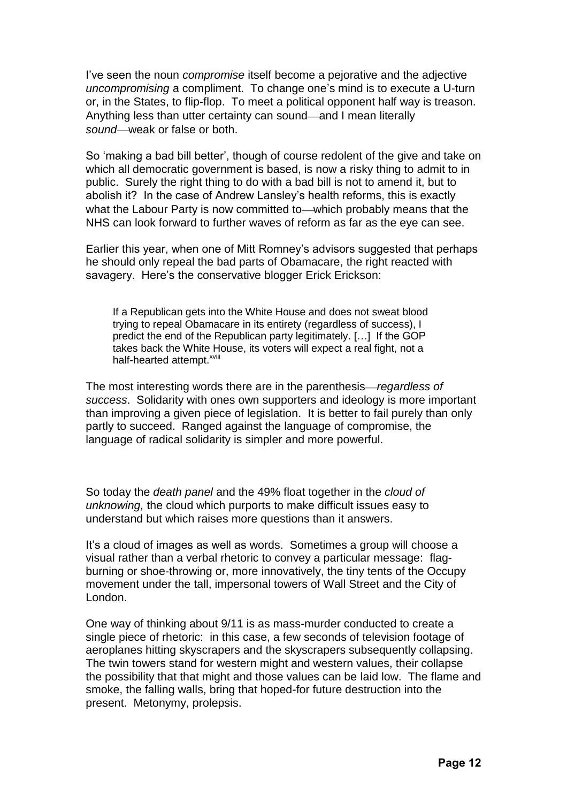I've seen the noun *compromise* itself become a pejorative and the adjective *uncompromising* a compliment. To change one's mind is to execute a U-turn or, in the States, to flip-flop. To meet a political opponent half way is treason. Anything less than utter certainty can sound—and I mean literally sound—weak or false or both.

So 'making a bad bill better', though of course redolent of the give and take on which all democratic government is based, is now a risky thing to admit to in public. Surely the right thing to do with a bad bill is not to amend it, but to abolish it? In the case of Andrew Lansley's health reforms, this is exactly what the Labour Party is now committed to—which probably means that the NHS can look forward to further waves of reform as far as the eye can see.

Earlier this year, when one of Mitt Romney's advisors suggested that perhaps he should only repeal the bad parts of Obamacare, the right reacted with savagery. Here's the conservative blogger Erick Erickson:

If a Republican gets into the White House and does not sweat blood trying to repeal Obamacare in its entirety (regardless of success), I predict the end of the Republican party legitimately. […] If the GOP takes back the White House, its voters will expect a real fight, not a half-hearted attempt.<sup>xviii</sup>

The most interesting words there are in the parenthesis—*regardless of success*. Solidarity with ones own supporters and ideology is more important than improving a given piece of legislation. It is better to fail purely than only partly to succeed. Ranged against the language of compromise, the language of radical solidarity is simpler and more powerful.

So today the *death panel* and the 49% float together in the *cloud of unknowing,* the cloud which purports to make difficult issues easy to understand but which raises more questions than it answers.

It's a cloud of images as well as words. Sometimes a group will choose a visual rather than a verbal rhetoric to convey a particular message: flagburning or shoe-throwing or, more innovatively, the tiny tents of the Occupy movement under the tall, impersonal towers of Wall Street and the City of London.

One way of thinking about 9/11 is as mass-murder conducted to create a single piece of rhetoric: in this case, a few seconds of television footage of aeroplanes hitting skyscrapers and the skyscrapers subsequently collapsing. The twin towers stand for western might and western values, their collapse the possibility that that might and those values can be laid low. The flame and smoke, the falling walls, bring that hoped-for future destruction into the present. Metonymy, prolepsis.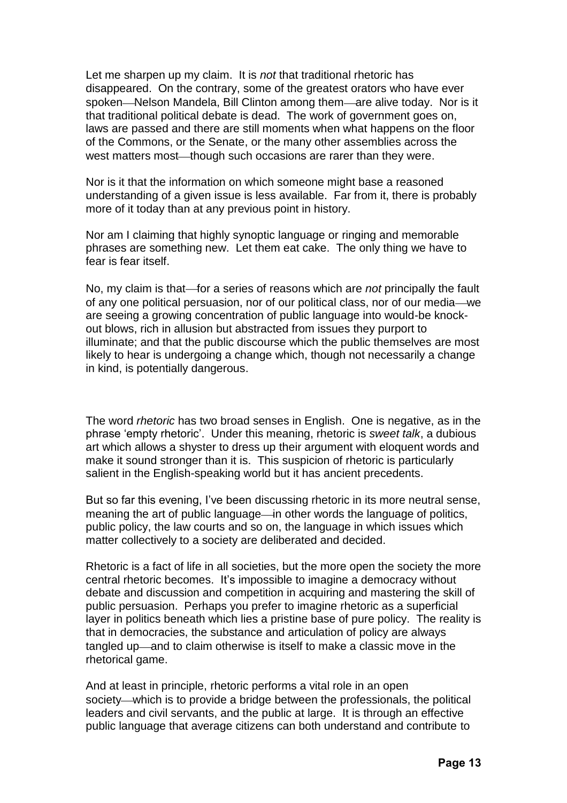Let me sharpen up my claim. It is *not* that traditional rhetoric has disappeared. On the contrary, some of the greatest orators who have ever spoken—Nelson Mandela, Bill Clinton among them—are alive today. Nor is it that traditional political debate is dead. The work of government goes on, laws are passed and there are still moments when what happens on the floor of the Commons, or the Senate, or the many other assemblies across the west matters most—though such occasions are rarer than they were.

Nor is it that the information on which someone might base a reasoned understanding of a given issue is less available. Far from it, there is probably more of it today than at any previous point in history.

Nor am I claiming that highly synoptic language or ringing and memorable phrases are something new. Let them eat cake. The only thing we have to fear is fear itself.

No, my claim is that—for a series of reasons which are *not* principally the fault of any one political persuasion, nor of our political class, nor of our media we are seeing a growing concentration of public language into would-be knockout blows, rich in allusion but abstracted from issues they purport to illuminate; and that the public discourse which the public themselves are most likely to hear is undergoing a change which, though not necessarily a change in kind, is potentially dangerous.

The word *rhetoric* has two broad senses in English. One is negative, as in the phrase 'empty rhetoric'. Under this meaning, rhetoric is *sweet talk*, a dubious art which allows a shyster to dress up their argument with eloquent words and make it sound stronger than it is. This suspicion of rhetoric is particularly salient in the English-speaking world but it has ancient precedents.

But so far this evening, I've been discussing rhetoric in its more neutral sense, meaning the art of public language—in other words the language of politics, public policy, the law courts and so on, the language in which issues which matter collectively to a society are deliberated and decided.

Rhetoric is a fact of life in all societies, but the more open the society the more central rhetoric becomes. It's impossible to imagine a democracy without debate and discussion and competition in acquiring and mastering the skill of public persuasion. Perhaps you prefer to imagine rhetoric as a superficial layer in politics beneath which lies a pristine base of pure policy. The reality is that in democracies, the substance and articulation of policy are always tangled up—and to claim otherwise is itself to make a classic move in the rhetorical game.

And at least in principle, rhetoric performs a vital role in an open society—which is to provide a bridge between the professionals, the political leaders and civil servants, and the public at large. It is through an effective public language that average citizens can both understand and contribute to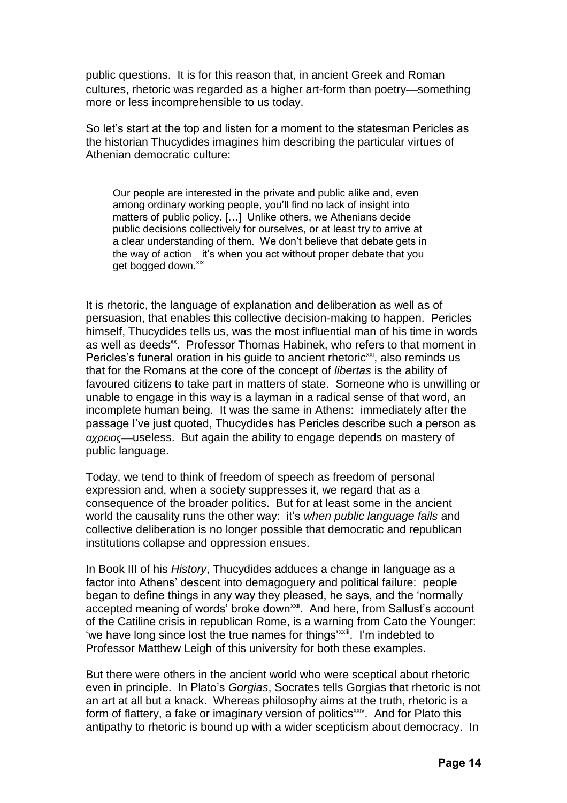public questions. It is for this reason that, in ancient Greek and Roman cultures, rhetoric was regarded as a higher art-form than poetry-something more or less incomprehensible to us today.

So let's start at the top and listen for a moment to the statesman Pericles as the historian Thucydides imagines him describing the particular virtues of Athenian democratic culture:

Our people are interested in the private and public alike and, even among ordinary working people, you'll find no lack of insight into matters of public policy. […] Unlike others, we Athenians decide public decisions collectively for ourselves, or at least try to arrive at a clear understanding of them. We don't believe that debate gets in the way of action—it's when you act without proper debate that you get bogged down.<sup>xix</sup>

It is rhetoric, the language of explanation and deliberation as well as of persuasion, that enables this collective decision-making to happen. Pericles himself, Thucydides tells us, was the most influential man of his time in words as well as deeds<sup>xx</sup>. Professor Thomas Habinek, who refers to that moment in Pericles's funeral oration in his guide to ancient rhetoric<sup> $xi$ </sup>, also reminds us that for the Romans at the core of the concept of *libertas* is the ability of favoured citizens to take part in matters of state. Someone who is unwilling or unable to engage in this way is a layman in a radical sense of that word, an incomplete human being. It was the same in Athens: immediately after the passage I've just quoted, Thucydides has Pericles describe such a person as *αχρειος* useless. But again the ability to engage depends on mastery of public language.

Today, we tend to think of freedom of speech as freedom of personal expression and, when a society suppresses it, we regard that as a consequence of the broader politics. But for at least some in the ancient world the causality runs the other way: it's *when public language fails* and collective deliberation is no longer possible that democratic and republican institutions collapse and oppression ensues.

In Book III of his *History*, Thucydides adduces a change in language as a factor into Athens' descent into demagoguery and political failure: people began to define things in any way they pleased, he says, and the 'normally accepted meaning of words' broke down<sup>xxii</sup>. And here, from Sallust's account of the Catiline crisis in republican Rome, is a warning from Cato the Younger: 'we have long since lost the true names for things'<sup>xxiii</sup>. I'm indebted to Professor Matthew Leigh of this university for both these examples.

But there were others in the ancient world who were sceptical about rhetoric even in principle. In Plato's *Gorgias*, Socrates tells Gorgias that rhetoric is not an art at all but a knack. Whereas philosophy aims at the truth, rhetoric is a form of flattery, a fake or imaginary version of politics<sup>xxiv</sup>. And for Plato this antipathy to rhetoric is bound up with a wider scepticism about democracy. In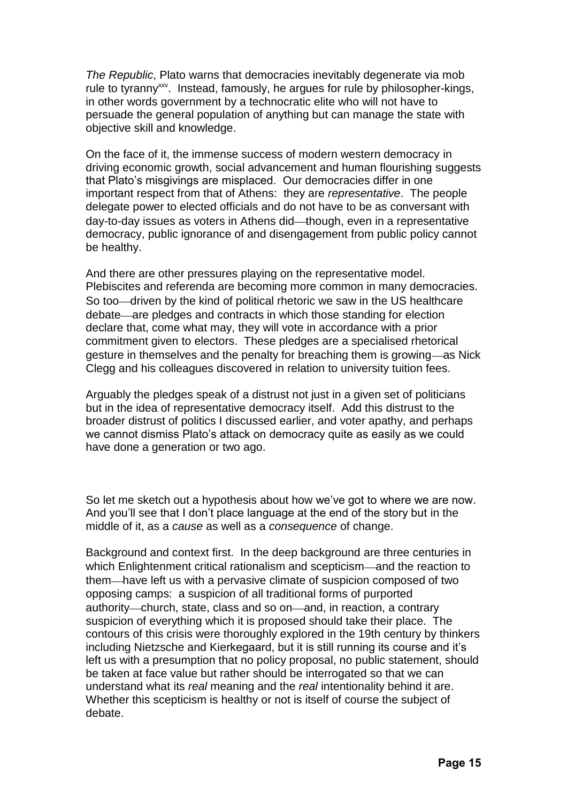*The Republic*, Plato warns that democracies inevitably degenerate via mob rule to tyranny<sup>xxv</sup>. Instead, famously, he argues for rule by philosopher-kings, in other words government by a technocratic elite who will not have to persuade the general population of anything but can manage the state with objective skill and knowledge.

On the face of it, the immense success of modern western democracy in driving economic growth, social advancement and human flourishing suggests that Plato's misgivings are misplaced. Our democracies differ in one important respect from that of Athens: they are *representative*. The people delegate power to elected officials and do not have to be as conversant with day-to-day issues as voters in Athens did—though, even in a representative democracy, public ignorance of and disengagement from public policy cannot be healthy.

And there are other pressures playing on the representative model. Plebiscites and referenda are becoming more common in many democracies. So too—driven by the kind of political rhetoric we saw in the US healthcare debate—are pledges and contracts in which those standing for election declare that, come what may, they will vote in accordance with a prior commitment given to electors. These pledges are a specialised rhetorical gesture in themselves and the penalty for breaching them is growing—as Nick Clegg and his colleagues discovered in relation to university tuition fees.

Arguably the pledges speak of a distrust not just in a given set of politicians but in the idea of representative democracy itself. Add this distrust to the broader distrust of politics I discussed earlier, and voter apathy, and perhaps we cannot dismiss Plato's attack on democracy quite as easily as we could have done a generation or two ago.

So let me sketch out a hypothesis about how we've got to where we are now. And you'll see that I don't place language at the end of the story but in the middle of it, as a *cause* as well as a *consequence* of change.

Background and context first. In the deep background are three centuries in which Enlightenment critical rationalism and scepticism—and the reaction to them—have left us with a pervasive climate of suspicion composed of two opposing camps: a suspicion of all traditional forms of purported authority—church, state, class and so on—and, in reaction, a contrary suspicion of everything which it is proposed should take their place. The contours of this crisis were thoroughly explored in the 19th century by thinkers including Nietzsche and Kierkegaard, but it is still running its course and it's left us with a presumption that no policy proposal, no public statement, should be taken at face value but rather should be interrogated so that we can understand what its *real* meaning and the *real* intentionality behind it are. Whether this scepticism is healthy or not is itself of course the subject of debate.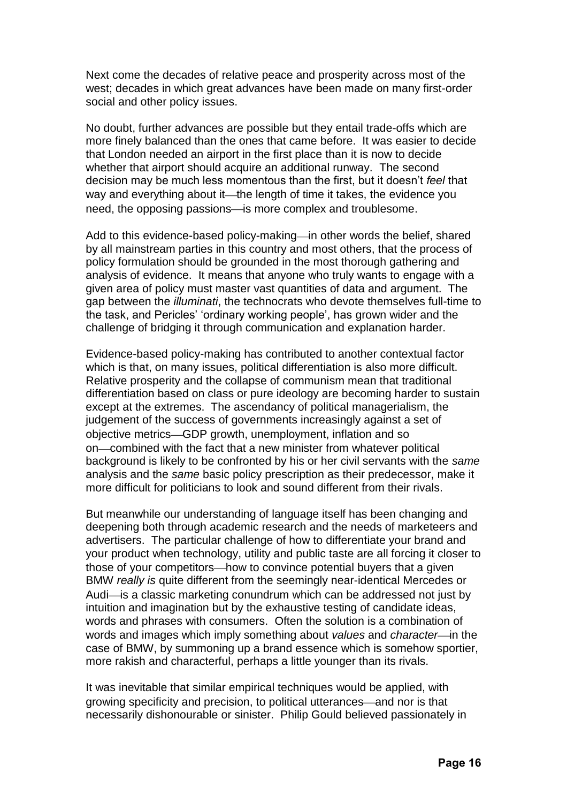Next come the decades of relative peace and prosperity across most of the west; decades in which great advances have been made on many first-order social and other policy issues.

No doubt, further advances are possible but they entail trade-offs which are more finely balanced than the ones that came before. It was easier to decide that London needed an airport in the first place than it is now to decide whether that airport should acquire an additional runway. The second decision may be much less momentous than the first, but it doesn't *feel* that way and everything about it—the length of time it takes, the evidence you need, the opposing passions-is more complex and troublesome.

Add to this evidence-based policy-making—in other words the belief, shared by all mainstream parties in this country and most others, that the process of policy formulation should be grounded in the most thorough gathering and analysis of evidence. It means that anyone who truly wants to engage with a given area of policy must master vast quantities of data and argument. The gap between the *illuminati*, the technocrats who devote themselves full-time to the task, and Pericles' 'ordinary working people', has grown wider and the challenge of bridging it through communication and explanation harder.

Evidence-based policy-making has contributed to another contextual factor which is that, on many issues, political differentiation is also more difficult. Relative prosperity and the collapse of communism mean that traditional differentiation based on class or pure ideology are becoming harder to sustain except at the extremes. The ascendancy of political managerialism, the judgement of the success of governments increasingly against a set of objective metrics—GDP growth, unemployment, inflation and so on—combined with the fact that a new minister from whatever political background is likely to be confronted by his or her civil servants with the *same* analysis and the *same* basic policy prescription as their predecessor, make it more difficult for politicians to look and sound different from their rivals.

But meanwhile our understanding of language itself has been changing and deepening both through academic research and the needs of marketeers and advertisers. The particular challenge of how to differentiate your brand and your product when technology, utility and public taste are all forcing it closer to those of your competitors—how to convince potential buyers that a given BMW *really is* quite different from the seemingly near-identical Mercedes or Audi-is a classic marketing conundrum which can be addressed not just by intuition and imagination but by the exhaustive testing of candidate ideas, words and phrases with consumers. Often the solution is a combination of words and images which imply something about *values* and *character*—in the case of BMW, by summoning up a brand essence which is somehow sportier, more rakish and characterful, perhaps a little younger than its rivals.

It was inevitable that similar empirical techniques would be applied, with growing specificity and precision, to political utterances—and nor is that necessarily dishonourable or sinister. Philip Gould believed passionately in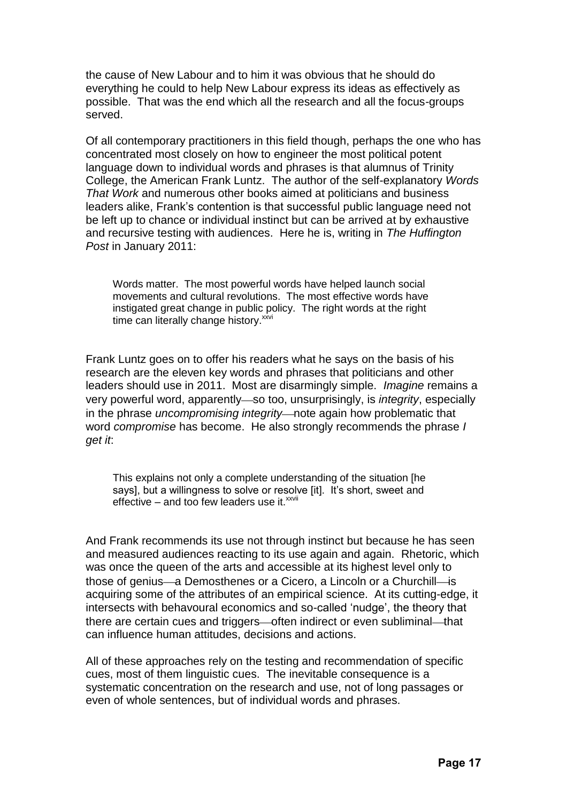the cause of New Labour and to him it was obvious that he should do everything he could to help New Labour express its ideas as effectively as possible. That was the end which all the research and all the focus-groups served.

Of all contemporary practitioners in this field though, perhaps the one who has concentrated most closely on how to engineer the most political potent language down to individual words and phrases is that alumnus of Trinity College, the American Frank Luntz. The author of the self-explanatory *Words That Work* and numerous other books aimed at politicians and business leaders alike, Frank's contention is that successful public language need not be left up to chance or individual instinct but can be arrived at by exhaustive and recursive testing with audiences. Here he is, writing in *The Huffington Post* in January 2011:

Words matter. The most powerful words have helped launch social movements and cultural revolutions. The most effective words have instigated great change in public policy. The right words at the right time can literally change history.<sup>xxvi</sup>

Frank Luntz goes on to offer his readers what he says on the basis of his research are the eleven key words and phrases that politicians and other leaders should use in 2011. Most are disarmingly simple. *Imagine* remains a very powerful word, apparently-so too, unsurprisingly, is *integrity*, especially in the phrase *uncompromising integrity*—note again how problematic that word *compromise* has become. He also strongly recommends the phrase *I get it*:

This explains not only a complete understanding of the situation [he says], but a willingness to solve or resolve [it]. It's short, sweet and effective – and too few leaders use it. $x^{xx}$ 

And Frank recommends its use not through instinct but because he has seen and measured audiences reacting to its use again and again. Rhetoric, which was once the queen of the arts and accessible at its highest level only to those of genius—a Demosthenes or a Cicero, a Lincoln or a Churchill—is acquiring some of the attributes of an empirical science. At its cutting-edge, it intersects with behavoural economics and so-called 'nudge', the theory that there are certain cues and triggers—often indirect or even subliminal—that can influence human attitudes, decisions and actions.

All of these approaches rely on the testing and recommendation of specific cues, most of them linguistic cues. The inevitable consequence is a systematic concentration on the research and use, not of long passages or even of whole sentences, but of individual words and phrases.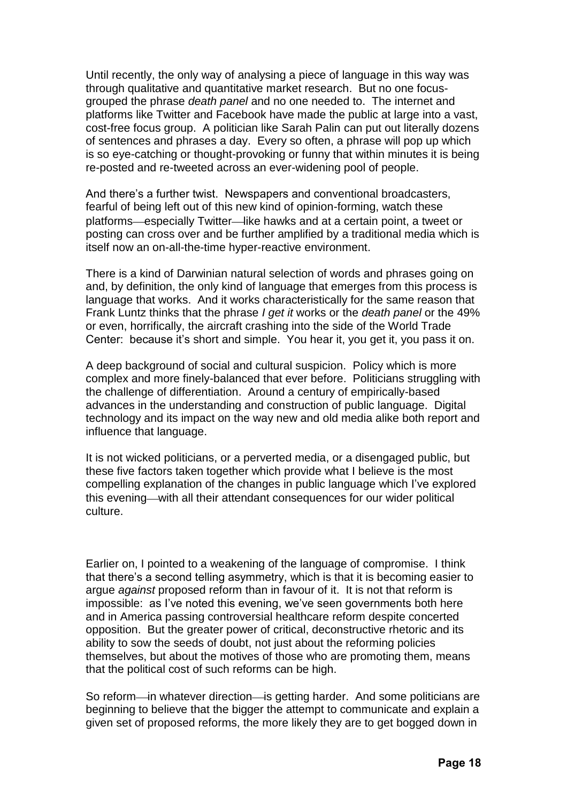Until recently, the only way of analysing a piece of language in this way was through qualitative and quantitative market research. But no one focusgrouped the phrase *death panel* and no one needed to. The internet and platforms like Twitter and Facebook have made the public at large into a vast, cost-free focus group. A politician like Sarah Palin can put out literally dozens of sentences and phrases a day. Every so often, a phrase will pop up which is so eye-catching or thought-provoking or funny that within minutes it is being re-posted and re-tweeted across an ever-widening pool of people.

And there's a further twist. Newspapers and conventional broadcasters, fearful of being left out of this new kind of opinion-forming, watch these platforms—especially Twitter—like hawks and at a certain point, a tweet or posting can cross over and be further amplified by a traditional media which is itself now an on-all-the-time hyper-reactive environment.

There is a kind of Darwinian natural selection of words and phrases going on and, by definition, the only kind of language that emerges from this process is language that works. And it works characteristically for the same reason that Frank Luntz thinks that the phrase *I get it* works or the *death panel* or the 49% or even, horrifically, the aircraft crashing into the side of the World Trade Center: because it's short and simple. You hear it, you get it, you pass it on.

A deep background of social and cultural suspicion. Policy which is more complex and more finely-balanced that ever before. Politicians struggling with the challenge of differentiation. Around a century of empirically-based advances in the understanding and construction of public language. Digital technology and its impact on the way new and old media alike both report and influence that language.

It is not wicked politicians, or a perverted media, or a disengaged public, but these five factors taken together which provide what I believe is the most compelling explanation of the changes in public language which I've explored this evening—with all their attendant consequences for our wider political culture.

Earlier on, I pointed to a weakening of the language of compromise. I think that there's a second telling asymmetry, which is that it is becoming easier to argue *against* proposed reform than in favour of it. It is not that reform is impossible: as I've noted this evening, we've seen governments both here and in America passing controversial healthcare reform despite concerted opposition. But the greater power of critical, deconstructive rhetoric and its ability to sow the seeds of doubt, not just about the reforming policies themselves, but about the motives of those who are promoting them, means that the political cost of such reforms can be high.

So reform—in whatever direction—is getting harder. And some politicians are beginning to believe that the bigger the attempt to communicate and explain a given set of proposed reforms, the more likely they are to get bogged down in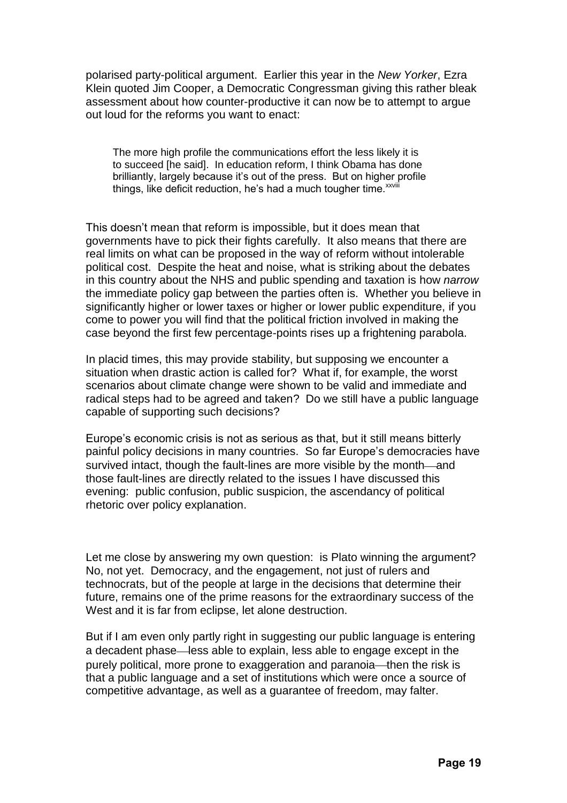polarised party-political argument. Earlier this year in the *New Yorker*, Ezra Klein quoted Jim Cooper, a Democratic Congressman giving this rather bleak assessment about how counter-productive it can now be to attempt to argue out loud for the reforms you want to enact:

The more high profile the communications effort the less likely it is to succeed [he said]. In education reform, I think Obama has done brilliantly, largely because it's out of the press. But on higher profile things, like deficit reduction, he's had a much tougher time. xxviii

This doesn't mean that reform is impossible, but it does mean that governments have to pick their fights carefully. It also means that there are real limits on what can be proposed in the way of reform without intolerable political cost. Despite the heat and noise, what is striking about the debates in this country about the NHS and public spending and taxation is how *narrow* the immediate policy gap between the parties often is. Whether you believe in significantly higher or lower taxes or higher or lower public expenditure, if you come to power you will find that the political friction involved in making the case beyond the first few percentage-points rises up a frightening parabola.

In placid times, this may provide stability, but supposing we encounter a situation when drastic action is called for? What if, for example, the worst scenarios about climate change were shown to be valid and immediate and radical steps had to be agreed and taken? Do we still have a public language capable of supporting such decisions?

Europe's economic crisis is not as serious as that, but it still means bitterly painful policy decisions in many countries. So far Europe's democracies have survived intact, though the fault-lines are more visible by the month—and those fault-lines are directly related to the issues I have discussed this evening: public confusion, public suspicion, the ascendancy of political rhetoric over policy explanation.

Let me close by answering my own question: is Plato winning the argument? No, not yet. Democracy, and the engagement, not just of rulers and technocrats, but of the people at large in the decisions that determine their future, remains one of the prime reasons for the extraordinary success of the West and it is far from eclipse, let alone destruction.

But if I am even only partly right in suggesting our public language is entering a decadent phase—less able to explain, less able to engage except in the purely political, more prone to exaggeration and paranoia—then the risk is that a public language and a set of institutions which were once a source of competitive advantage, as well as a guarantee of freedom, may falter.